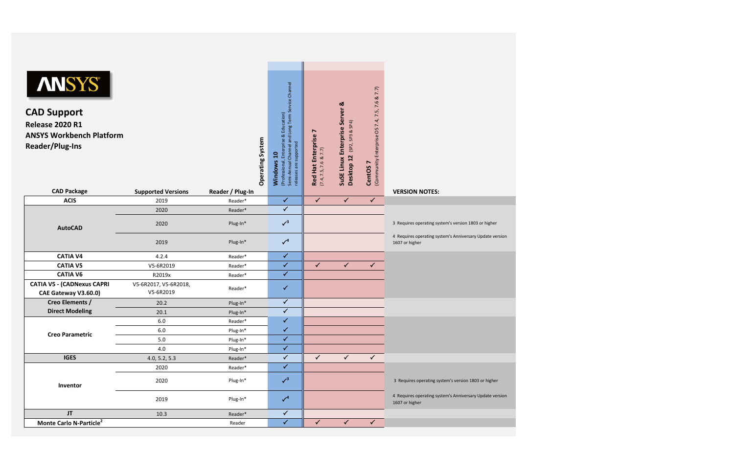| <b>ANSYS®</b><br><b>CAD Support</b><br><b>Release 2020 R1</b><br><b>ANSYS Workbench Platform</b><br><b>Reader/Plug-Ins</b> |                                    | <b>Operating System</b> | Semi-Annual Channel and Long Term Service Channel<br>Enterprise & Education)<br>releases are supported<br>ុ<br>(Professional, E<br>Windows | $\blacktriangleright$<br>Red Hat Enterprise<br>(7.4, 7.5, 7.6 & 7.7) | SuSE Linux Enterprise Server &<br>(SP2, SP3 & SP4)<br>Desktop 12 | (Community Enterprise OS 7.4, 7.5, 7.6 & 7.7)<br>CentOS <sub>7</sub> |                                                                            |
|----------------------------------------------------------------------------------------------------------------------------|------------------------------------|-------------------------|--------------------------------------------------------------------------------------------------------------------------------------------|----------------------------------------------------------------------|------------------------------------------------------------------|----------------------------------------------------------------------|----------------------------------------------------------------------------|
| <b>CAD Package</b>                                                                                                         | <b>Supported Versions</b>          | Reader / Plug-In        |                                                                                                                                            |                                                                      |                                                                  |                                                                      | <b>VERSION NOTES:</b>                                                      |
| <b>ACIS</b>                                                                                                                | 2019                               | Reader*                 | $\checkmark$<br>$\checkmark$                                                                                                               | $\checkmark$                                                         | $\checkmark$                                                     | $\checkmark$                                                         |                                                                            |
|                                                                                                                            | 2020                               | Reader*                 |                                                                                                                                            |                                                                      |                                                                  |                                                                      |                                                                            |
| <b>AutoCAD</b>                                                                                                             | 2020                               | Plug-In*                | $\sqrt{3}$                                                                                                                                 |                                                                      |                                                                  |                                                                      | 3 Requires operating system's version 1803 or higher                       |
|                                                                                                                            | 2019                               | Plug-In*                | $\checkmark^4$                                                                                                                             |                                                                      |                                                                  |                                                                      | 4 Requires operating system's Anniversary Update version<br>1607 or higher |
| <b>CATIA V4</b>                                                                                                            | 4.2.4                              | Reader*                 | $\checkmark$                                                                                                                               |                                                                      |                                                                  |                                                                      |                                                                            |
| <b>CATIA V5</b>                                                                                                            | V5-6R2019                          | Reader*                 | $\checkmark$                                                                                                                               | $\checkmark$                                                         | $\checkmark$                                                     | $\checkmark$                                                         |                                                                            |
| <b>CATIA V6</b>                                                                                                            | R2019x                             | Reader*                 | $\checkmark$                                                                                                                               |                                                                      |                                                                  |                                                                      |                                                                            |
| <b>CATIA V5 - (CADNexus CAPRI</b><br>CAE Gateway V3.60.0)                                                                  | V5-6R2017, V5-6R2018,<br>V5-6R2019 | Reader*                 | $\checkmark$                                                                                                                               |                                                                      |                                                                  |                                                                      |                                                                            |
| Creo Elements /                                                                                                            | 20.2                               | Plug-In*                | $\checkmark$                                                                                                                               |                                                                      |                                                                  |                                                                      |                                                                            |
| <b>Direct Modeling</b>                                                                                                     | 20.1                               | Plug-In*                | $\checkmark$                                                                                                                               |                                                                      |                                                                  |                                                                      |                                                                            |
|                                                                                                                            | 6.0                                | Reader*                 | $\checkmark$                                                                                                                               |                                                                      |                                                                  |                                                                      |                                                                            |
| <b>Creo Parametric</b>                                                                                                     | $6.0\,$                            | Plug-In*                | $\checkmark$                                                                                                                               |                                                                      |                                                                  |                                                                      |                                                                            |
|                                                                                                                            | 5.0                                | Plug-In*                | $\checkmark$                                                                                                                               |                                                                      |                                                                  |                                                                      |                                                                            |
|                                                                                                                            | 4.0                                | Plug-In*                | $\checkmark$                                                                                                                               |                                                                      |                                                                  |                                                                      |                                                                            |
| <b>IGES</b>                                                                                                                | 4.0, 5.2, 5.3                      | Reader*                 | $\checkmark$                                                                                                                               | $\checkmark$                                                         | $\checkmark$                                                     | $\checkmark$                                                         |                                                                            |
|                                                                                                                            | 2020                               | Reader*                 | $\checkmark$                                                                                                                               |                                                                      |                                                                  |                                                                      |                                                                            |
| Inventor                                                                                                                   | 2020                               | Plug-In*                | $\sqrt{3}$                                                                                                                                 |                                                                      |                                                                  |                                                                      | 3 Requires operating system's version 1803 or higher                       |
|                                                                                                                            | 2019                               | Plug-In*                | $\sqrt{4}$                                                                                                                                 |                                                                      |                                                                  |                                                                      | 4 Requires operating system's Anniversary Update version<br>1607 or higher |
| JT                                                                                                                         | 10.3                               | Reader*                 | $\checkmark$                                                                                                                               |                                                                      |                                                                  |                                                                      |                                                                            |
| Monte Carlo N-Particle <sup>2</sup>                                                                                        |                                    | Reader                  | $\checkmark$                                                                                                                               | $\checkmark$                                                         | $\checkmark$                                                     | $\checkmark$                                                         |                                                                            |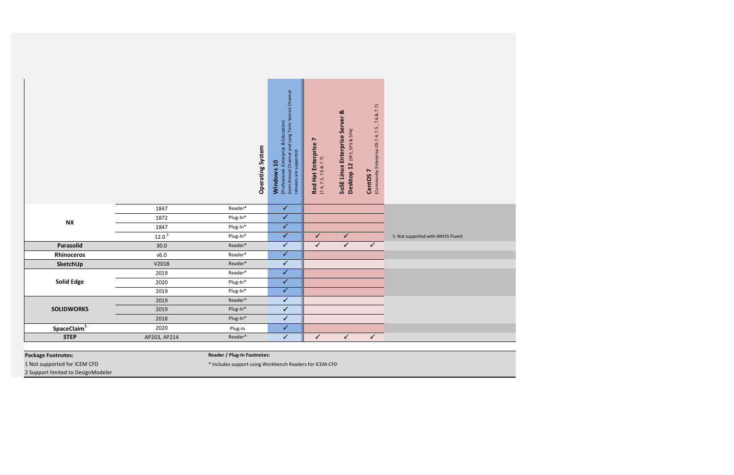|                         |                   | Operating System | (Professional. Enterprise & Education)<br>Semi-Annual Channel and Long Term Service Channel<br>releases are supported<br>Windows 10 | $\blacktriangleright$<br><b>Red Hat Enterprise</b><br>(7.4, 7.5, 7.6 & 7.7) | SuSE Linux Enterprise Server &<br>Desktop 12 (SP2, SP3 & SP4) | (Community Enterprise OS 7.4, 7.5, 7.6 & 7.7)<br>CentOS <sub>7</sub> |                                   |
|-------------------------|-------------------|------------------|-------------------------------------------------------------------------------------------------------------------------------------|-----------------------------------------------------------------------------|---------------------------------------------------------------|----------------------------------------------------------------------|-----------------------------------|
|                         | 1847              | Reader*          | $\overline{\checkmark}$                                                                                                             |                                                                             |                                                               |                                                                      |                                   |
| <b>NX</b>               | 1872              | Plug-In*         | $\checkmark$                                                                                                                        |                                                                             |                                                               |                                                                      |                                   |
|                         | 1847              | Plug-In*         | $\checkmark$                                                                                                                        |                                                                             |                                                               |                                                                      |                                   |
|                         | 12.0 <sup>5</sup> | Plug-In*         | $\checkmark$                                                                                                                        | $\checkmark$                                                                | $\checkmark$                                                  |                                                                      | 5 Not supported with ANSYS Fluent |
| Parasolid               | 30.0              | Reader*          | $\checkmark$                                                                                                                        | $\checkmark$                                                                | $\sqrt{2}$                                                    | $\checkmark$                                                         |                                   |
| <b>Rhinoceros</b>       | v6.0              | Reader*          | $\checkmark$                                                                                                                        |                                                                             |                                                               |                                                                      |                                   |
| SketchUp                | V2018             | Reader*          | $\checkmark$                                                                                                                        |                                                                             |                                                               |                                                                      |                                   |
|                         | 2019              | Reader*          | $\overline{\checkmark}$                                                                                                             |                                                                             |                                                               |                                                                      |                                   |
| <b>Solid Edge</b>       | 2020              | Plug-In*         | $\overline{\checkmark}$                                                                                                             |                                                                             |                                                               |                                                                      |                                   |
|                         | 2019              | Plug-In*         | $\overline{\checkmark}$                                                                                                             |                                                                             |                                                               |                                                                      |                                   |
|                         | 2019              | Reader*          | $\checkmark$                                                                                                                        |                                                                             |                                                               |                                                                      |                                   |
| <b>SOLIDWORKS</b>       | 2019              | Plug-In*         | $\overline{\checkmark}$                                                                                                             |                                                                             |                                                               |                                                                      |                                   |
|                         | 2018              | Plug-In*         | $\checkmark$                                                                                                                        |                                                                             |                                                               |                                                                      |                                   |
| SpaceClaim <sup>1</sup> | 2020              | Plug-In          | $\checkmark$                                                                                                                        |                                                                             |                                                               |                                                                      |                                   |
| <b>STEP</b>             | AP203, AP214      | Reader*          | $\checkmark$                                                                                                                        | $\checkmark$                                                                | $\checkmark$                                                  | $\checkmark$                                                         |                                   |

**Package Footnotes:**

1 Not supported for ICEM CFD \* Includes support using Workbench Readers for ICEM-CFD 2 Support limited to DesignModeler

**Reader / Plug-In Footnotes:**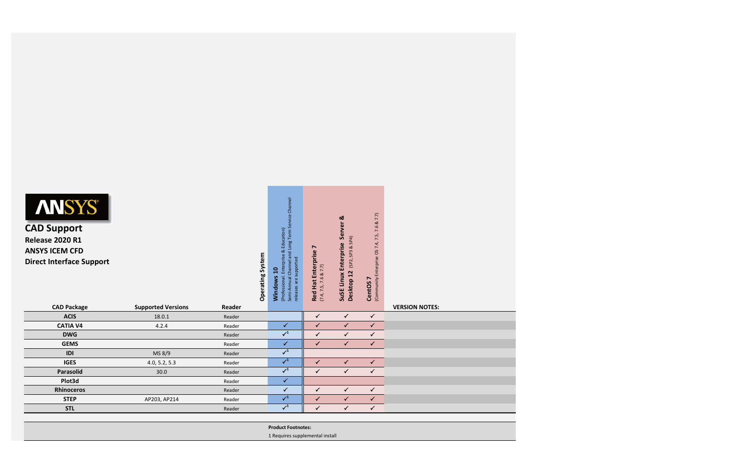| <b>ANSYS®</b><br><b>CAD Support</b><br><b>Release 2020 R1</b><br><b>ANSYS ICEM CFD</b><br><b>Direct Interface Support</b> |                           |        | Long Term Service Channel<br>Education)<br>$\infty$<br>Semi-Annual Channel and<br><b>Operating System</b><br>Enterprise<br>supported<br>$\overline{a}$<br>Windows<br>(Professional.<br>are<br>releases | $\blacksquare$<br><b>Red Hat Enterprise</b><br>(7.4, 7.5, 7.6 & 7.7) | Server &<br>(SP2, SP3 & SP4)<br>SuSE Linux Enterprise<br>Desktop 12 | 7.7)<br>$\propto$<br>7.6<br>(Community Enterprise OS 7.4, 7.5,<br>CentOS <sub>7</sub> |                       |  |
|---------------------------------------------------------------------------------------------------------------------------|---------------------------|--------|--------------------------------------------------------------------------------------------------------------------------------------------------------------------------------------------------------|----------------------------------------------------------------------|---------------------------------------------------------------------|---------------------------------------------------------------------------------------|-----------------------|--|
| <b>CAD Package</b>                                                                                                        | <b>Supported Versions</b> | Reader |                                                                                                                                                                                                        |                                                                      |                                                                     |                                                                                       | <b>VERSION NOTES:</b> |  |
| <b>ACIS</b>                                                                                                               | 18.0.1                    | Reader |                                                                                                                                                                                                        | $\checkmark$                                                         | $\checkmark$                                                        | $\checkmark$                                                                          |                       |  |
| <b>CATIA V4</b>                                                                                                           | 4.2.4                     | Reader | $\checkmark$                                                                                                                                                                                           | $\checkmark$                                                         | $\checkmark$                                                        | $\checkmark$                                                                          |                       |  |
| <b>DWG</b>                                                                                                                |                           | Reader | $\sqrt{1}$                                                                                                                                                                                             | $\checkmark$                                                         | $\checkmark$                                                        | $\checkmark$                                                                          |                       |  |
| <b>GEMS</b>                                                                                                               |                           | Reader | $\checkmark$                                                                                                                                                                                           | $\checkmark$                                                         | $\checkmark$                                                        | $\checkmark$                                                                          |                       |  |
| IDI                                                                                                                       | MS 8/9                    | Reader | $\checkmark^1$                                                                                                                                                                                         |                                                                      |                                                                     |                                                                                       |                       |  |
| <b>IGES</b>                                                                                                               | 4.0, 5.2, 5.3             | Reader | $\checkmark^1$                                                                                                                                                                                         | $\checkmark$                                                         | $\checkmark$                                                        | $\checkmark$                                                                          |                       |  |
| Parasolid                                                                                                                 | 30.0                      | Reader | $\checkmark^1$                                                                                                                                                                                         | $\checkmark$                                                         | $\checkmark$                                                        | $\checkmark$                                                                          |                       |  |
| Plot3d                                                                                                                    |                           | Reader | $\checkmark$                                                                                                                                                                                           |                                                                      |                                                                     |                                                                                       |                       |  |
| <b>Rhinoceros</b>                                                                                                         |                           | Reader | $\checkmark$                                                                                                                                                                                           | $\checkmark$                                                         | $\checkmark$                                                        | $\checkmark$                                                                          |                       |  |
|                                                                                                                           | AP203, AP214              | Reader | $\sqrt{1}$                                                                                                                                                                                             | $\checkmark$                                                         | $\checkmark$                                                        | $\checkmark$                                                                          |                       |  |
| <b>STEP</b>                                                                                                               |                           |        |                                                                                                                                                                                                        |                                                                      |                                                                     |                                                                                       |                       |  |
| <b>STL</b>                                                                                                                |                           | Reader | $\checkmark^1$                                                                                                                                                                                         | $\checkmark$                                                         | $\checkmark$                                                        | $\checkmark$                                                                          |                       |  |



## **CAD Support Release 2020 R1 ANSYS ICEM CFD**

| <b>Product Footnotes:</b>       |
|---------------------------------|
| 1 Requires supplemental install |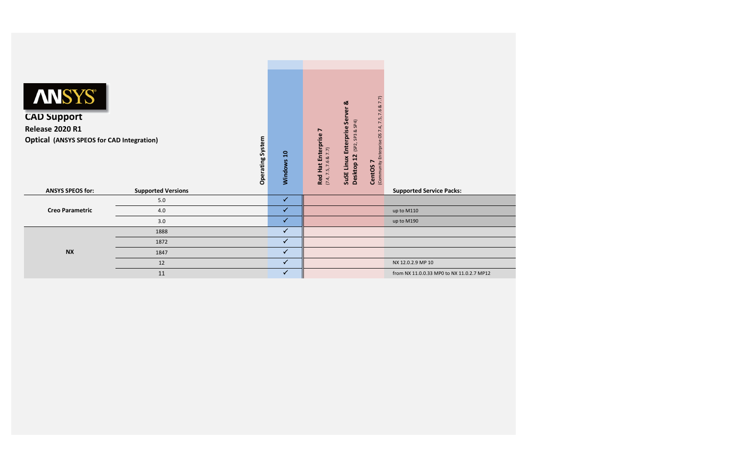| <b>ANSYS®</b><br><b>CAD Support</b><br><b>Release 2020 R1</b><br><b>Optical (ANSYS SPEOS for CAD Integration)</b> |                           | Operating System | Windows 10   | <b>Red Hat Enterprise 7</b><br>(7.4, 7.5, 7.6 & 7.7) | ಷ<br><b>Enterprise Server</b><br>SP3 & SP4)<br>(SP2,<br>Desktop 12<br>SuSE Linux | (Community Enterprise OS 7.4, 7.5, 7.6 & 7.7)<br>$\blacktriangleright$<br><b>CentOS</b> |                                           |
|-------------------------------------------------------------------------------------------------------------------|---------------------------|------------------|--------------|------------------------------------------------------|----------------------------------------------------------------------------------|-----------------------------------------------------------------------------------------|-------------------------------------------|
| <b>ANSYS SPEOS for:</b>                                                                                           | <b>Supported Versions</b> |                  |              |                                                      |                                                                                  |                                                                                         | <b>Supported Service Packs:</b>           |
|                                                                                                                   | $5.0\,$                   |                  | $\checkmark$ |                                                      |                                                                                  |                                                                                         |                                           |
| <b>Creo Parametric</b>                                                                                            | 4.0                       |                  | $\checkmark$ |                                                      |                                                                                  |                                                                                         | up to M110                                |
|                                                                                                                   | 3.0                       |                  | $\checkmark$ |                                                      |                                                                                  |                                                                                         | up to M190                                |
|                                                                                                                   | 1888                      |                  | $\checkmark$ |                                                      |                                                                                  |                                                                                         |                                           |
|                                                                                                                   | 1872                      |                  | $\checkmark$ |                                                      |                                                                                  |                                                                                         |                                           |
| <b>NX</b>                                                                                                         | 1847                      |                  | $\checkmark$ |                                                      |                                                                                  |                                                                                         |                                           |
|                                                                                                                   | 12                        |                  | $\checkmark$ |                                                      |                                                                                  |                                                                                         | NX 12.0.2.9 MP 10                         |
|                                                                                                                   | 11                        |                  | $\checkmark$ |                                                      |                                                                                  |                                                                                         | from NX 11.0.0.33 MP0 to NX 11.0.2.7 MP12 |